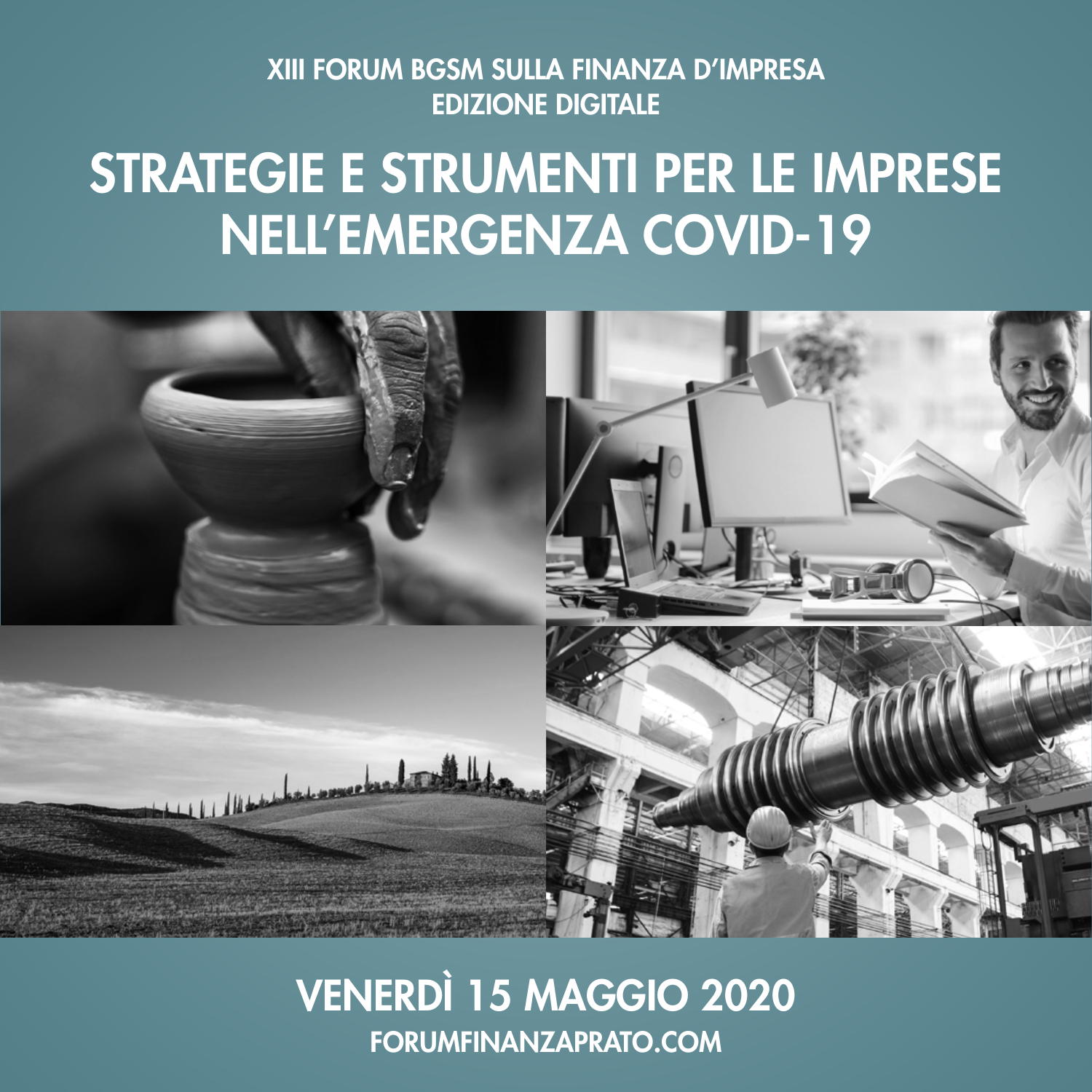### XIII FORUM BGSM SULLA FINANZA D'IMPRESA **EDIZIONE DIGITALE**

# STRATEGIE E STRUMENTI PER LE IMPRESE NELL'EMERGENZA COVID-19



## **VENERDÌ 15 MAGGIO 2020 FORUMFINANZAPRATO.COM**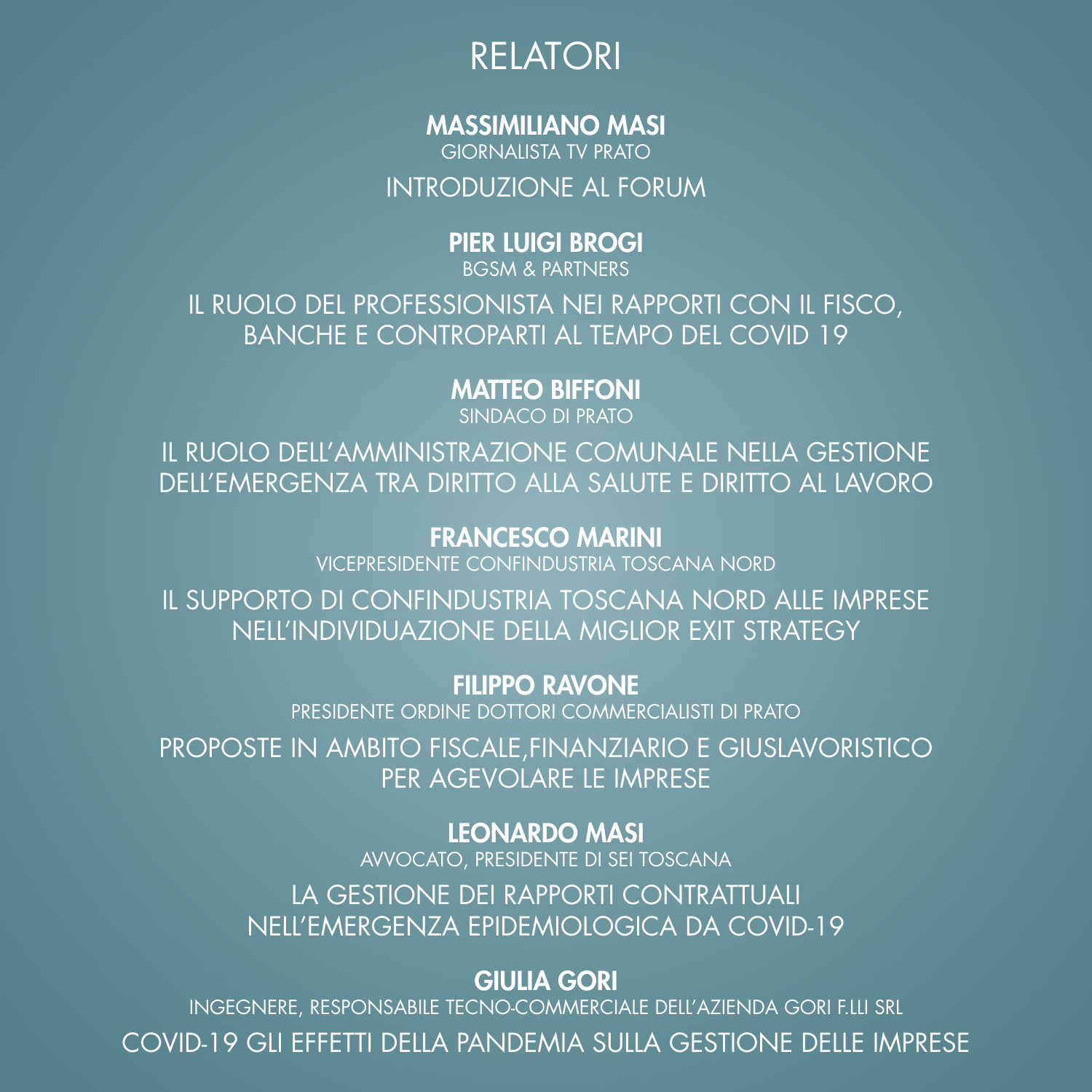

#### MASSIMILIANO MASI

GIORNALISTA TV PRATO

#### INTRODUZIONE AL FORUM

#### PIER LUIGI BROGI

BGSM & PARTNERS

IL RUOLO DEL PROFESSIONISTA NEI RAPPORTI CON IL FISCO, BANCHE E CONTROPARTI AL TEMPO DEL COVID 19

#### MATTEO BIFFONI

SINDACO DI PRATO

IL RUOLO DELL'AMMINISTRAZIONE COMUNALE NELLA GESTIONE DELL'EMERGENZA TRA DIRITTO ALLA SALUTE E DIRITTO AL LAVORO

#### FRANCESCO MARINI

VICEPRESIDENTE CONFINDUSTRIA TOSCANA NORD

IL SUPPORTO DI CONFINDUSTRIA TOSCANA NORD ALLE IMPRESE NELL'INDIVIDUAZIONE DELLA MIGLIOR EXIT STRATEGY

FILIPPO RAVONE

PRESIDENTE ORDINE DOTTORI COMMERCIALISTI DI PRATO

PROPOSTE IN AMBITO FISCALE,FINANZIARIO E GIUSLAVORISTICO PER AGEVOLARE LE IMPRESE

#### LEONARDO MASI

AVVOCATO, PRESIDENTE DI SEI TOSCANA LA GESTIONE DEI RAPPORTI CONTRATTUALI NELL'EMERGENZA EPIDEMIOLOGICA DA COVID-19

#### GIULIA GORI

INGEGNERE, RESPONSABILE TECNO-COMMERCIALE DELL'AZIENDA GORI F.LLI SRL

COVID-19 GLI EFFETTI DELLA PANDEMIA SULLA GESTIONE DELLE IMPRESE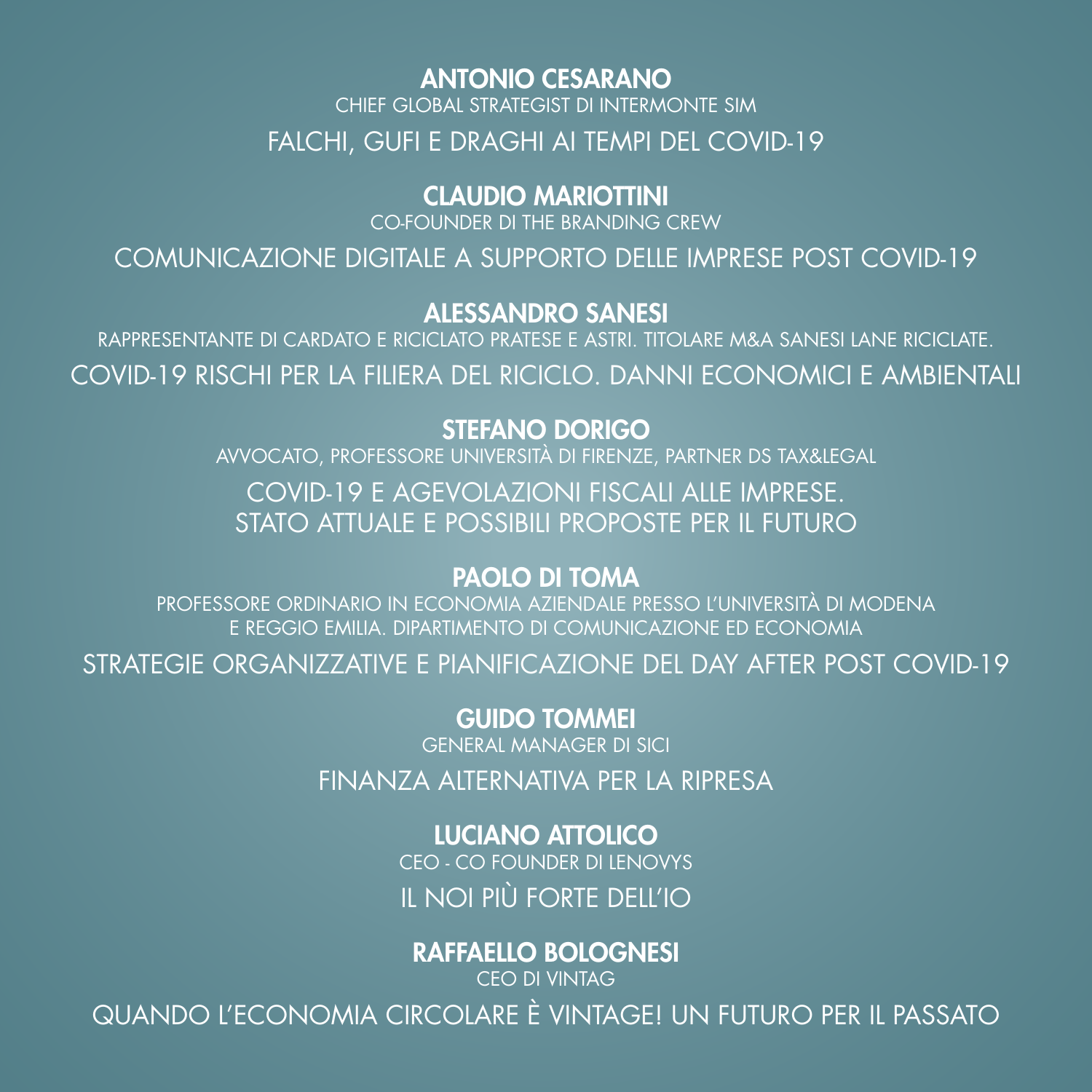#### **ANTONIO CESARANO**

CHIEF GLOBAL STRATEGIST DI INTERMONTE SIM

FALCHI, GUFI E DRAGHI AI TEMPI DEL COVID-19

#### **CLAUDIO MARIOTTINI**

CO-FOUNDER DI THE BRANDING CREW

COMUNICAZIONE DIGITALE A SUPPORTO DELLE IMPRESE POST COVID-19

#### **ALESSANDRO SANESI**

RAPPRESENTANTE DI CARDATO E RICICLATO PRATESE E ASTRI. TITOLARE M&A SANESI LANE RICICLATE. COVID-19 RISCHI PER LA FILIERA DEL RICICLO. DANNI ECONOMICI E AMBIENTALI

#### **STEFANO DORIGO**

AVVOCATO, PROFESSORE UNIVERSITÀ DI FIRENZE, PARTNER DS TAX&LEGAL COVID-19 E AGEVOLAZIONI FISCALI ALLE IMPRESE.

STATO ATTUALE E POSSIBILI PROPOSTE PER IL FUTURO

#### **PAOLO DI TOMA**

PROFESSORE ORDINARIO IN ECONOMIA AZIENDALE PRESSO L'UNIVERSITÀ DI MODENA E REGGIO EMILIA. DIPARTIMENTO DI COMUNICAZIONE ED ECONOMIA

STRATEGIE ORGANIZZATIVE E PIANIFICAZIONE DEL DAY AFTER POST COVID-19

**GUIDO TOMMEI** 

**GENERAL MANAGER DI SICI** 

FINANZA ALTERNATIVA PER LA RIPRESA

**LUCIANO ATTOLICO** CEO - CO FOUNDER DI LENOVYS

IL NOI PIÙ FORTE DELL'IO

#### **RAFFAELLO BOLOGNESI**

**CFO DI VINTAG** QUANDO L'ECONOMIA CIRCOLARE È VINTAGE! UN FUTURO PER IL PASSATO